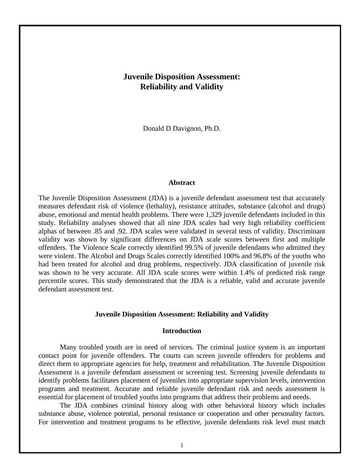# **Juvenile Disposition Assessment: Reliability and Validity**

Donald D Davignon, Ph.D.

# **Abstract**

The Juvenile Disposition Assessment (JDA) is a juvenile defendant assessment test that accurately measures defendant risk of violence (lethality), resistance attitudes, substance (alcohol and drugs) abuse, emotional and mental health problems. There were 1,329 juvenile defendants included in this study. Reliability analyses showed that all nine JDA scales had very high reliability coefficient alphas of between .85 and .92. JDA scales were validated in several tests of validity. Discriminant validity was shown by significant differences on JDA scale scores between first and multiple offenders. The Violence Scale correctly identified 99.5% of juvenile defendants who admitted they were violent. The Alcohol and Drugs Scales correctly identified 100% and 96.8% of the youths who had been treated for alcohol and drug problems, respectively. JDA classification of juvenile risk was shown to be very accurate. All JDA scale scores were within 1.4% of predicted risk range percentile scores. This study demonstrated that the JDA is a reliable, valid and accurate juvenile defendant assessment test.

### **Juvenile Disposition Assessment: Reliability and Validity**

### **Introduction**

Many troubled youth are in need of services. The criminal justice system is an important contact point for juvenile offenders. The courts can screen juvenile offenders for problems and direct them to appropriate agencies for help, treatment and rehabilitation. The Juvenile Disposition Assessment is a juvenile defendant assessment or screening test. Screening juvenile defendants to identify problems facilitates placement of juveniles into appropriate supervision levels, intervention programs and treatment. Accurate and reliable juvenile defendant risk and needs assessment is essential for placement of troubled youths into programs that address their problems and needs.

The JDA combines criminal history along with other behavioral history which includes substance abuse, violence potential, personal resistance or cooperation and other personality factors. For intervention and treatment programs to be effective, juvenile defendants risk level must match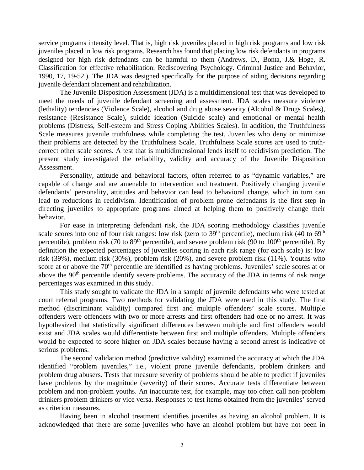service programs intensity level. That is, high risk juveniles placed in high risk programs and low risk juveniles placed in low risk programs. Research has found that placing low risk defendants in programs designed for high risk defendants can be harmful to them (Andrews, D., Bonta, J.& Hoge, R. Classification for effective rehabilitation: Rediscovering Psychology. Criminal Justice and Behavior, 1990, 17, 19-52.). The JDA was designed specifically for the purpose of aiding decisions regarding juvenile defendant placement and rehabilitation.

The Juvenile Disposition Assessment (JDA) is a multidimensional test that was developed to meet the needs of juvenile defendant screening and assessment. JDA scales measure violence (lethality) tendencies (Violence Scale), alcohol and drug abuse severity (Alcohol & Drugs Scales), resistance (Resistance Scale), suicide ideation (Suicide scale) and emotional or mental health problems (Distress, Self-esteem and Stress Coping Abilities Scales). In addition, the Truthfulness Scale measures juvenile truthfulness while completing the test. Juveniles who deny or minimize their problems are detected by the Truthfulness Scale. Truthfulness Scale scores are used to truthcorrect other scale scores. A test that is multidimensional lends itself to recidivism prediction. The present study investigated the reliability, validity and accuracy of the Juvenile Disposition Assessment.

Personality, attitude and behavioral factors, often referred to as "dynamic variables," are capable of change and are amenable to intervention and treatment. Positively changing juvenile defendants' personality, attitudes and behavior can lead to behavioral change, which in turn can lead to reductions in recidivism. Identification of problem prone defendants is the first step in directing juveniles to appropriate programs aimed at helping them to positively change their behavior.

For ease in interpreting defendant risk, the JDA scoring methodology classifies juvenile scale scores into one of four risk ranges: low risk (zero to  $39<sup>th</sup>$  percentile), medium risk (40 to  $69<sup>th</sup>$ percentile), problem risk (70 to  $89<sup>th</sup>$  percentile), and severe problem risk (90 to 100<sup>th</sup> percentile). By definition the expected percentages of juveniles scoring in each risk range (for each scale) is: low risk (39%), medium risk (30%), problem risk (20%), and severe problem risk (11%). Youths who score at or above the 70<sup>th</sup> percentile are identified as having problems. Juveniles' scale scores at or above the 90<sup>th</sup> percentile identify severe problems. The accuracy of the JDA in terms of risk range percentages was examined in this study.

This study sought to validate the JDA in a sample of juvenile defendants who were tested at court referral programs. Two methods for validating the JDA were used in this study. The first method (discriminant validity) compared first and multiple offenders' scale scores. Multiple offenders were offenders with two or more arrests and first offenders had one or no arrest. It was hypothesized that statistically significant differences between multiple and first offenders would exist and JDA scales would differentiate between first and multiple offenders. Multiple offenders would be expected to score higher on JDA scales because having a second arrest is indicative of serious problems.

The second validation method (predictive validity) examined the accuracy at which the JDA identified "problem juveniles," i.e., violent prone juvenile defendants, problem drinkers and problem drug abusers. Tests that measure severity of problems should be able to predict if juveniles have problems by the magnitude (severity) of their scores. Accurate tests differentiate between problem and non-problem youths. An inaccurate test, for example, may too often call non-problem drinkers problem drinkers or vice versa. Responses to test items obtained from the juveniles' served as criterion measures.

Having been in alcohol treatment identifies juveniles as having an alcohol problem. It is acknowledged that there are some juveniles who have an alcohol problem but have not been in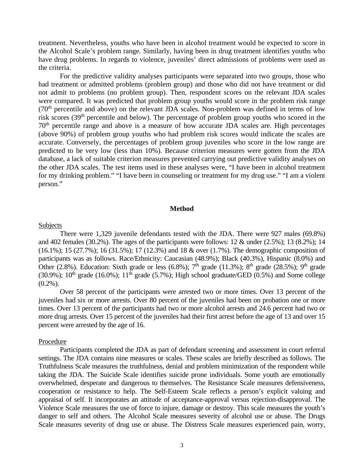treatment. Nevertheless, youths who have been in alcohol treatment would be expected to score in the Alcohol Scale's problem range. Similarly, having been in drug treatment identifies youths who have drug problems. In regards to violence, juveniles' direct admissions of problems were used as the criteria.

For the predictive validity analyses participants were separated into two groups, those who had treatment or admitted problems (problem group) and those who did not have treatment or did not admit to problems (no problem group). Then, respondent scores on the relevant JDA scales were compared. It was predicted that problem group youths would score in the problem risk range  $(70<sup>th</sup>$  percentile and above) on the relevant JDA scales. Non-problem was defined in terms of low risk scores (39th percentile and below). The percentage of problem group youths who scored in the 70th percentile range and above is a measure of how accurate JDA scales are. High percentages (above 90%) of problem group youths who had problem risk scores would indicate the scales are accurate. Conversely, the percentages of problem group juveniles who score in the low range are predicted to be very low (less than 10%). Because criterion measures were gotten from the JDA database, a lack of suitable criterion measures prevented carrying out predictive validity analyses on the other JDA scales. The test items used in these analyses were, "I have been in alcohol treatment for my drinking problem." "I have been in counseling or treatment for my drug use." "I am a violent person."

### **Method**

#### Subjects

There were 1,329 juvenile defendants tested with the JDA. There were 927 males (69.8%) and 402 females (30.2%). The ages of the participants were follows:  $12 \&$  under (2.5%);  $13$  (8.2%);  $14$ (16.1%); 15 (27.7%); 16 (31.5%); 17 (12.3%) and 18 & over (1.7%). The demographic composition of participants was as follows. Race/Ethnicity: Caucasian (48.9%); Black (40.3%), Hispanic (8.0%) and Other (2.8%). Education: Sixth grade or less (6.8%);  $7<sup>th</sup>$  grade (11.3%); 8<sup>th</sup> grade (28.5%); 9<sup>th</sup> grade (30.9%);  $10^{th}$  grade (16.0%);  $11^{th}$  grade (5.7%); High school graduate/GED (0.5%) and Some college  $(0.2\%)$ .

Over 58 percent of the participants were arrested two or more times. Over 13 percent of the juveniles had six or more arrests. Over 80 percent of the juveniles had been on probation one or more times. Over 13 percent of the participants had two or more alcohol arrests and 24.6 percent had two or more drug arrests. Over 15 percent of the juveniles had their first arrest before the age of 13 and over 15 percent were arrested by the age of 16.

#### Procedure

Participants completed the JDA as part of defendant screening and assessment in court referral settings. The JDA contains nine measures or scales. These scales are briefly described as follows. The Truthfulness Scale measures the truthfulness, denial and problem minimization of the respondent while taking the JDA. The Suicide Scale identifies suicide prone individuals. Some youth are emotionally overwhelmed, desperate and dangerous to themselves. The Resistance Scale measures defensiveness, cooperation or resistance to help. The Self-Esteem Scale reflects a person's explicit valuing and appraisal of self. It incorporates an attitude of acceptance-approval versus rejection-disapproval. The Violence Scale measures the use of force to injure, damage or destroy. This scale measures the youth's danger to self and others. The Alcohol Scale measures severity of alcohol use or abuse. The Drugs Scale measures severity of drug use or abuse. The Distress Scale measures experienced pain, worry,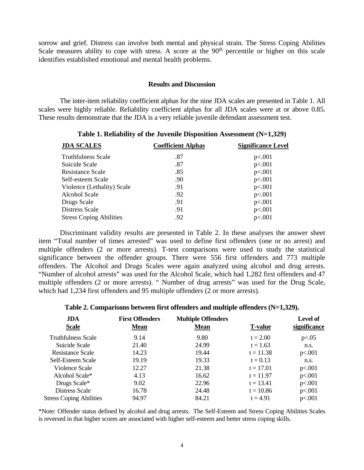sorrow and grief. Distress can involve both mental and physical strain. The Stress Coping Abilities Scale measures ability to cope with stress. A score at the  $90<sup>th</sup>$  percentile or higher on this scale identifies established emotional and mental health problems.

# **Results and Discussion**

The inter-item reliability coefficient alphas for the nine JDA scales are presented in Table 1. All scales were highly reliable. Reliability coefficient alphas for all JDA scales were at or above 0.85. These results demonstrate that the JDA is a very reliable juvenile defendant assessment test.

| <b>JDA SCALES</b>              | <b>Coefficient Alphas</b> | <b>Significance Level</b> |  |  |
|--------------------------------|---------------------------|---------------------------|--|--|
| <b>Truthfulness Scale</b>      | .87                       | p<.001                    |  |  |
| Suicide Scale                  | .87                       | p<.001                    |  |  |
| <b>Resistance Scale</b>        | .85                       | p<.001                    |  |  |
| Self-esteem Scale              | .90                       | p<.001                    |  |  |
| Violence (Lethality) Scale     | .91                       | p<.001                    |  |  |
| Alcohol Scale                  | .92                       | p<.001                    |  |  |
| Drugs Scale                    | .91                       | p<.001                    |  |  |
| Distress Scale                 | .91                       | p<.001                    |  |  |
| <b>Stress Coping Abilities</b> | .92                       | p<.001                    |  |  |

## **Table 1. Reliability of the Juvenile Disposition Assessment (N=1,329)**

Discriminant validity results are presented in Table 2. In these analyses the answer sheet item "Total number of times arrested" was used to define first offenders (one or no arrest) and multiple offenders (2 or more arrests). T-test comparisons were used to study the statistical significance between the offender groups. There were 556 first offenders and 773 multiple offenders. The Alcohol and Drugs Scales were again analyzed using alcohol and drug arrests. "Number of alcohol arrests" was used for the Alcohol Scale, which had 1,282 first offenders and 47 multiple offenders (2 or more arrests). " Number of drug arrests" was used for the Drug Scale, which had 1,234 first offenders and 95 multiple offenders (2 or more arrests).

### **Table 2. Comparisons between first offenders and multiple offenders (N=1,329).**

| <b>JDA</b><br><b>Scale</b>     | <b>First Offenders</b><br><b>Mean</b> | <b>Multiple Offenders</b><br><b>Mean</b> | <b>T-value</b> | <b>Level of</b><br>significance |
|--------------------------------|---------------------------------------|------------------------------------------|----------------|---------------------------------|
| <b>Truthfulness Scale</b>      | 9.14                                  | 9.80                                     | $t = 2.00$     | p<.05                           |
| Suicide Scale                  | 21.40                                 | 24.99                                    | $t = 1.63$     | n.s.                            |
| Resistance Scale               | 14.23                                 | 19.44                                    | $t = 11.38$    | p<.001                          |
| Self-Esteem Scale              | 19.19                                 | 19.33                                    | $t = 0.13$     | n.s.                            |
| Violence Scale                 | 12.27                                 | 21.38                                    | $t = 17.01$    | p<.001                          |
| Alcohol Scale*                 | 4.13                                  | 16.62                                    | $t = 11.97$    | p<.001                          |
| Drugs Scale*                   | 9.02                                  | 22.96                                    | $t = 13.41$    | p<.001                          |
| Distress Scale                 | 16.78                                 | 24.48                                    | $t = 10.86$    | p<.001                          |
| <b>Stress Coping Abilities</b> | 94.97                                 | 84.21                                    | $t = 4.91$     | p<.001                          |

\*Note: Offender status defined by alcohol and drug arrests. The Self-Esteem and Stress Coping Abilities Scales is reversed in that higher scores are associated with higher self-esteem and better stress coping skills.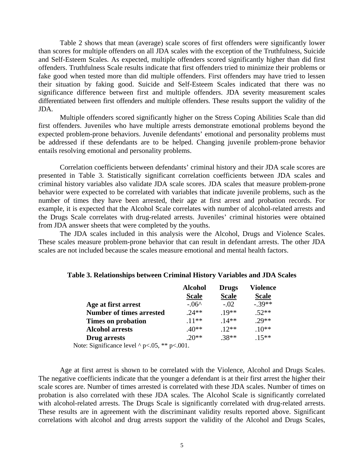Table 2 shows that mean (average) scale scores of first offenders were significantly lower than scores for multiple offenders on all JDA scales with the exception of the Truthfulness, Suicide and Self-Esteem Scales. As expected, multiple offenders scored significantly higher than did first offenders. Truthfulness Scale results indicate that first offenders tried to minimize their problems or fake good when tested more than did multiple offenders. First offenders may have tried to lessen their situation by faking good. Suicide and Self-Esteem Scales indicated that there was no significance difference between first and multiple offenders. JDA severity measurement scales differentiated between first offenders and multiple offenders. These results support the validity of the JDA.

Multiple offenders scored significantly higher on the Stress Coping Abilities Scale than did first offenders. Juveniles who have multiple arrests demonstrate emotional problems beyond the expected problem-prone behaviors. Juvenile defendants' emotional and personality problems must be addressed if these defendants are to be helped. Changing juvenile problem-prone behavior entails resolving emotional and personality problems.

Correlation coefficients between defendants' criminal history and their JDA scale scores are presented in Table 3. Statistically significant correlation coefficients between JDA scales and criminal history variables also validate JDA scale scores. JDA scales that measure problem-prone behavior were expected to be correlated with variables that indicate juvenile problems, such as the number of times they have been arrested, their age at first arrest and probation records. For example, it is expected that the Alcohol Scale correlates with number of alcohol-related arrests and the Drugs Scale correlates with drug-related arrests. Juveniles' criminal histories were obtained from JDA answer sheets that were completed by the youths.

The JDA scales included in this analysis were the Alcohol, Drugs and Violence Scales. These scales measure problem-prone behavior that can result in defendant arrests. The other JDA scales are not included because the scales measure emotional and mental health factors.

|                                                       | <b>Alcohol</b> | <b>Drugs</b> | <b>Violence</b> |
|-------------------------------------------------------|----------------|--------------|-----------------|
|                                                       | <b>Scale</b>   | <b>Scale</b> | <b>Scale</b>    |
| Age at first arrest                                   | $-.06^$        | $-.02$       | $-.39**$        |
| <b>Number of times arrested</b>                       | $.24**$        | $.19**$      | $.52**$         |
| Times on probation                                    | $.11***$       | $.14**$      | $29**$          |
| <b>Alcohol arrests</b>                                | $.40**$        | $.12**$      | $.10**$         |
| Drug arrests                                          | $.20**$        | $.38**$      | $.15***$        |
| $\lambda$ ote: Significance level ^ n< 05 $**$ n< 001 |                |              |                 |

### **Table 3. Relationships between Criminal History Variables and JDA Scales**

Note: Significance level ^ p<.05, \*\* p<.001.

Age at first arrest is shown to be correlated with the Violence, Alcohol and Drugs Scales. The negative coefficients indicate that the younger a defendant is at their first arrest the higher their scale scores are. Number of times arrested is correlated with these JDA scales. Number of times on probation is also correlated with these JDA scales. The Alcohol Scale is significantly correlated with alcohol-related arrests. The Drugs Scale is significantly correlated with drug-related arrests. These results are in agreement with the discriminant validity results reported above. Significant correlations with alcohol and drug arrests support the validity of the Alcohol and Drugs Scales,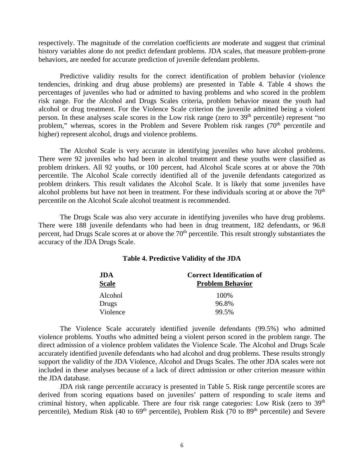respectively. The magnitude of the correlation coefficients are moderate and suggest that criminal history variables alone do not predict defendant problems. JDA scales, that measure problem-prone behaviors, are needed for accurate prediction of juvenile defendant problems.

Predictive validity results for the correct identification of problem behavior (violence tendencies, drinking and drug abuse problems) are presented in Table 4. Table 4 shows the percentages of juveniles who had or admitted to having problems and who scored in the problem risk range. For the Alcohol and Drugs Scales criteria, problem behavior meant the youth had alcohol or drug treatment. For the Violence Scale criterion the juvenile admitted being a violent person. In these analyses scale scores in the Low risk range (zero to 39<sup>th</sup> percentile) represent "no problem," whereas, scores in the Problem and Severe Problem risk ranges (70<sup>th</sup> percentile and higher) represent alcohol, drugs and violence problems.

The Alcohol Scale is very accurate in identifying juveniles who have alcohol problems. There were 92 juveniles who had been in alcohol treatment and these youths were classified as problem drinkers. All 92 youths, or 100 percent, had Alcohol Scale scores at or above the 70th percentile. The Alcohol Scale correctly identified all of the juvenile defendants categorized as problem drinkers. This result validates the Alcohol Scale. It is likely that some juveniles have alcohol problems but have not been in treatment. For these individuals scoring at or above the  $70<sup>th</sup>$ percentile on the Alcohol Scale alcohol treatment is recommended.

The Drugs Scale was also very accurate in identifying juveniles who have drug problems. There were 188 juvenile defendants who had been in drug treatment, 182 defendants, or 96.8 percent, had Drugs Scale scores at or above the 70<sup>th</sup> percentile. This result strongly substantiates the accuracy of the JDA Drugs Scale.

| Table 4. Predictive Validity of the JDA |  |  |  |
|-----------------------------------------|--|--|--|
|-----------------------------------------|--|--|--|

| JDA.         | <b>Correct Identification of</b> |  |  |
|--------------|----------------------------------|--|--|
| <b>Scale</b> | <b>Problem Behavior</b>          |  |  |
| Alcohol      | 100\%                            |  |  |
| Drugs        | 96.8%                            |  |  |
| Violence     | 99.5%                            |  |  |

The Violence Scale accurately identified juvenile defendants (99.5%) who admitted violence problems. Youths who admitted being a violent person scored in the problem range. The direct admission of a violence problem validates the Violence Scale. The Alcohol and Drugs Scale accurately identified juvenile defendants who had alcohol and drug problems. These results strongly support the validity of the JDA Violence, Alcohol and Drugs Scales. The other JDA scales were not included in these analyses because of a lack of direct admission or other criterion measure within the JDA database.

JDA risk range percentile accuracy is presented in Table 5. Risk range percentile scores are derived from scoring equations based on juveniles' pattern of responding to scale items and criminal history, when applicable. There are four risk range categories: Low Risk (zero to 39<sup>th</sup>) percentile), Medium Risk (40 to  $69<sup>th</sup>$  percentile), Problem Risk (70 to  $89<sup>th</sup>$  percentile) and Severe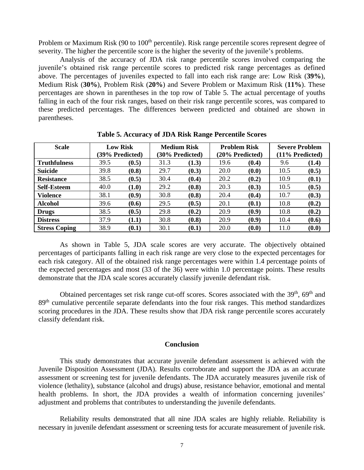Problem or Maximum Risk (90 to 100<sup>th</sup> percentile). Risk range percentile scores represent degree of severity. The higher the percentile score is the higher the severity of the juvenile's problems.

Analysis of the accuracy of JDA risk range percentile scores involved comparing the juvenile's obtained risk range percentile scores to predicted risk range percentages as defined above. The percentages of juveniles expected to fall into each risk range are: Low Risk (**39%**), Medium Risk (**30%**), Problem Risk (**20%**) and Severe Problem or Maximum Risk (**11%**). These percentages are shown in parentheses in the top row of Table 5. The actual percentage of youths falling in each of the four risk ranges, based on their risk range percentile scores, was compared to these predicted percentages. The differences between predicted and obtained are shown in parentheses.

| <b>Scale</b>         | <b>Low Risk</b> |       | <b>Medium Risk</b> |       | <b>Problem Risk</b> |                 | <b>Severe Problem</b> |       |
|----------------------|-----------------|-------|--------------------|-------|---------------------|-----------------|-----------------------|-------|
|                      | (39% Predicted) |       | (30% Predicted)    |       | (20% Predicted)     | (11% Predicted) |                       |       |
| <b>Truthfulness</b>  | 39.5            | (0.5) | 31.3               | (1.3) | 19.6                | (0.4)           | 9.6                   | (1.4) |
| <b>Suicide</b>       | 39.8            | (0.8) | 29.7               | (0.3) | 20.0                | (0.0)           | 10.5                  | (0.5) |
| <b>Resistance</b>    | 38.5            | (0.5) | 30.4               | (0.4) | 20.2                | (0.2)           | 10.9                  | (0.1) |
| <b>Self-Esteem</b>   | 40.0            | (1.0) | 29.2               | (0.8) | 20.3                | (0.3)           | 10.5                  | (0.5) |
| <b>Violence</b>      | 38.1            | (0.9) | 30.8               | (0.8) | 20.4                | (0.4)           | 10.7                  | (0.3) |
| <b>Alcohol</b>       | 39.6            | (0.6) | 29.5               | (0.5) | 20.1                | (0.1)           | 10.8                  | (0.2) |
| <b>Drugs</b>         | 38.5            | (0.5) | 29.8               | (0.2) | 20.9                | (0.9)           | 10.8                  | (0.2) |
| <b>Distress</b>      | 37.9            | (1.1) | 30.8               | (0.8) | 20.9                | (0.9)           | 10.4                  | (0.6) |
| <b>Stress Coping</b> | 38.9            | (0.1) | 30.1               | (0.1) | 20.0                | (0.0)           | 11.0                  | (0.0) |

**Table 5. Accuracy of JDA Risk Range Percentile Scores**

As shown in Table 5, JDA scale scores are very accurate. The objectively obtained percentages of participants falling in each risk range are very close to the expected percentages for each risk category. All of the obtained risk range percentages were within 1.4 percentage points of the expected percentages and most (33 of the 36) were within 1.0 percentage points. These results demonstrate that the JDA scale scores accurately classify juvenile defendant risk.

Obtained percentages set risk range cut-off scores. Scores associated with the  $39<sup>th</sup>$ ,  $69<sup>th</sup>$  and 89<sup>th</sup> cumulative percentile separate defendants into the four risk ranges. This method standardizes scoring procedures in the JDA. These results show that JDA risk range percentile scores accurately classify defendant risk.

### **Conclusion**

This study demonstrates that accurate juvenile defendant assessment is achieved with the Juvenile Disposition Assessment (JDA). Results corroborate and support the JDA as an accurate assessment or screening test for juvenile defendants. The JDA accurately measures juvenile risk of violence (lethality), substance (alcohol and drugs) abuse, resistance behavior, emotional and mental health problems. In short, the JDA provides a wealth of information concerning juveniles' adjustment and problems that contributes to understanding the juvenile defendants.

Reliability results demonstrated that all nine JDA scales are highly reliable. Reliability is necessary in juvenile defendant assessment or screening tests for accurate measurement of juvenile risk.